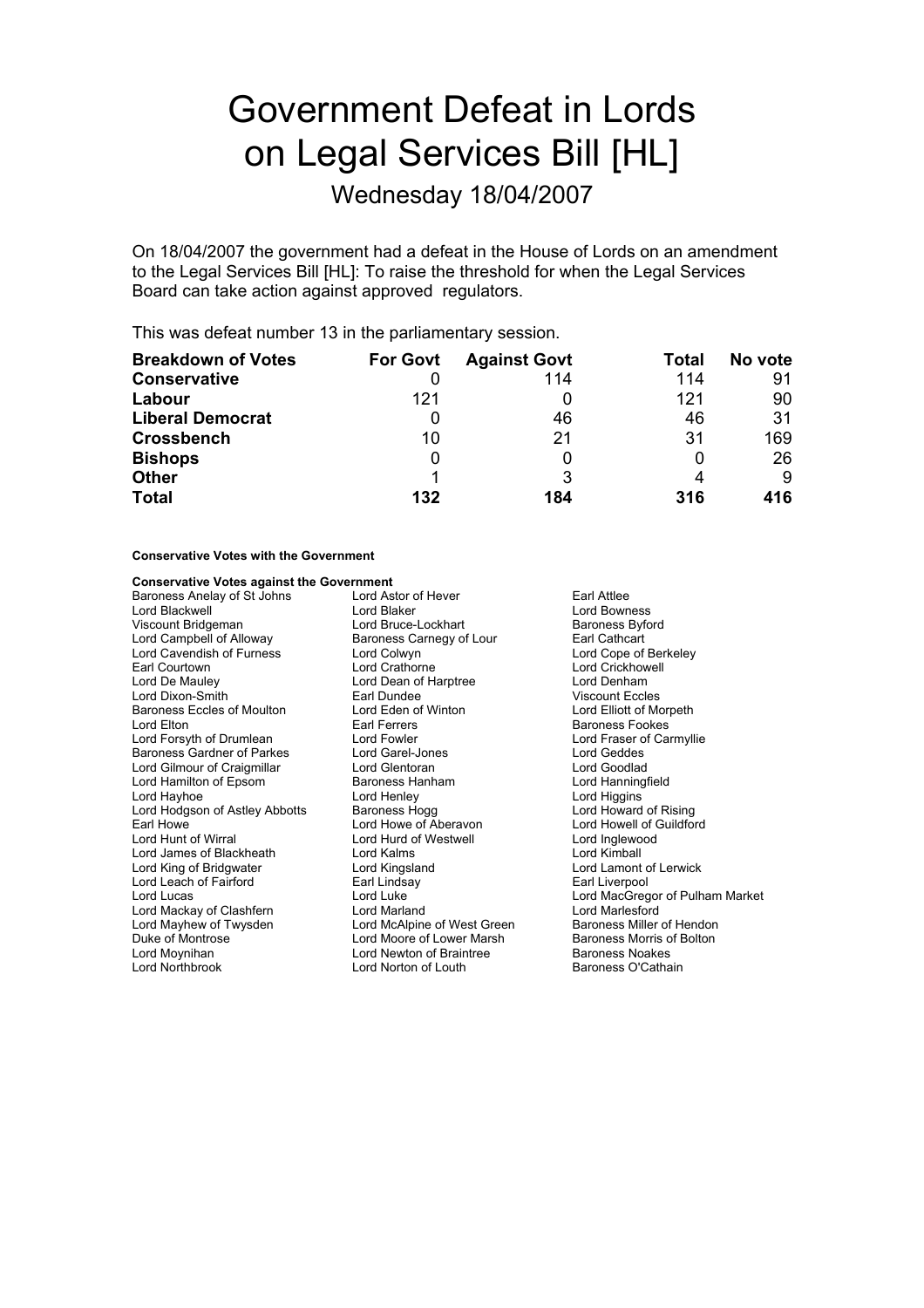# Government Defeat in Lords on Legal Services Bill [HL]

Wednesday 18/04/2007

On 18/04/2007 the government had a defeat in the House of Lords on an amendment to the Legal Services Bill [HL]: To raise the threshold for when the Legal Services Board can take action against approved regulators.

This was defeat number 13 in the parliamentary session.

| <b>Breakdown of Votes</b> | <b>For Govt</b> | <b>Against Govt</b> | Total | No vote |
|---------------------------|-----------------|---------------------|-------|---------|
| <b>Conservative</b>       |                 | 114                 | 114   | 91      |
| Labour                    | 121             |                     | 121   | 90      |
| <b>Liberal Democrat</b>   |                 | 46                  | 46    | 31      |
| <b>Crossbench</b>         | 10              | 21                  | 31    | 169     |
| <b>Bishops</b>            |                 |                     |       | 26      |
| <b>Other</b>              |                 |                     |       | 9       |
| <b>Total</b>              | 132             | 184                 | 316   | 416     |

#### **Conservative Votes with the Government**

#### **Conservative Votes against the Government**

Baroness Anelay of St Johns and Lord Astor of Hever **and Attack Constructs** Earl Attlee<br>1991 Lord Blaker Ford Bown Lord Blaker Lord Blackwell **Lord Blaker Lord Bowness**<br>
Lord Bowness<br>
Lord Bowness Bowness<br>
Lord Bowness Bowness<br>
Lord Bowness<br>
Lord Bowness<br>
Lord Bowness<br>
Daroness<br>
Baroness<br>
Bowness Viscount Bridgeman **Lord Bruce-Lockhart** Baroness Byford Baroness Byford Baroness Byford Campbell of Alloway **Baroness Carnegy of Lour** Lord Cavendish of Furness Earl Courtown Lord Crathorne Lord Crickhowell Lord De Mauley Lord Dean of Harptree Lord Denham Lord Dixon-Smith **Earl Dundee** Earl Dundee Viscount Eccles<br>
Baroness Eccles of Moulton **Earl Dund Eden of Winton** Lord Elliott of Morpeth Baroness Eccles of Moulton Lord Eden of Lord Elton Lord Elton Lord Elton Lord Elton Lord Earl Ferrers Lord Forsyth of Drumlean Lord Fowler Lord Four Lord Fraser of Carmyllie<br>Baroness Gardner of Parkes Lord Garel-Jones Lord Geddes Lord Geddes Baroness Gardner of Parkes Lord Garel-Jone<br>
Lord Gilmour of Craigmillar 
Lord Glentoran Lord Gilmour of Craigmillar **Lord Glentoran** Cord Goodlad Lord Goodlad Lord Hanningfield<br>
Lord Hamilton of Epsom **Baroness** Hannam Cord Hanningfield Lord Hamilton of Epsom Lord Hayhoe **Lord Henley** Lord Henley **Lord Henley** Lord Higgins Lord Hold Higgins Lord Howard of Rising Lord Hodgson of Astley Abbotts **Baroness Hogg Lord Howe of Aberavon** Earl Howe **Lord Howe Lord Howe Conditional Lord Howe** Cord Howell of Guildford Lord Hurd of Westwell **Lord Howell Cord Howell Accord Howell** Lord Hurd of Westwell **Lord Howell** Lord Inglewood Lord James of Blackheath Lord Kalms Lord Cord Cord Kimball<br>
Lord King of Bridgwater Lord Cord Kingsland Lord Lord Lamont Lord King of Bridgwater Lord Kingsland Lord Lamont of Lerwick Lord Leach of Fairford Lord Lucas Lord Lucas Lord Luke Lord Communication Lord MacGregor of Pulham Market<br>
Lord Mackay of Clashfern Lord Marland Lord Market Lord Marlesford Lord Mackay of Clashfern Lord Marland Lord Marlesford Duke of Montrose in the state of Lord Moore of Lower Marsh Baroness Morris of Bolton Lord Moynihan **Lord Newton of Braintree** Baroness Noakes<br>
Lord Northbrook Lord Norton of Louth Baroness O'Cathain Lord Norton of Louth

Baroness Carnegy of Lour Earl Cathcart<br>
Lord Colwyn Lord Cope of Berkeley Earl Ferrers Baroness Fookes<br>
Lord Equiler State Report Fraser of Ca Lord Hurd of Westwell Lord Inglewood Lord McAlpine of West Green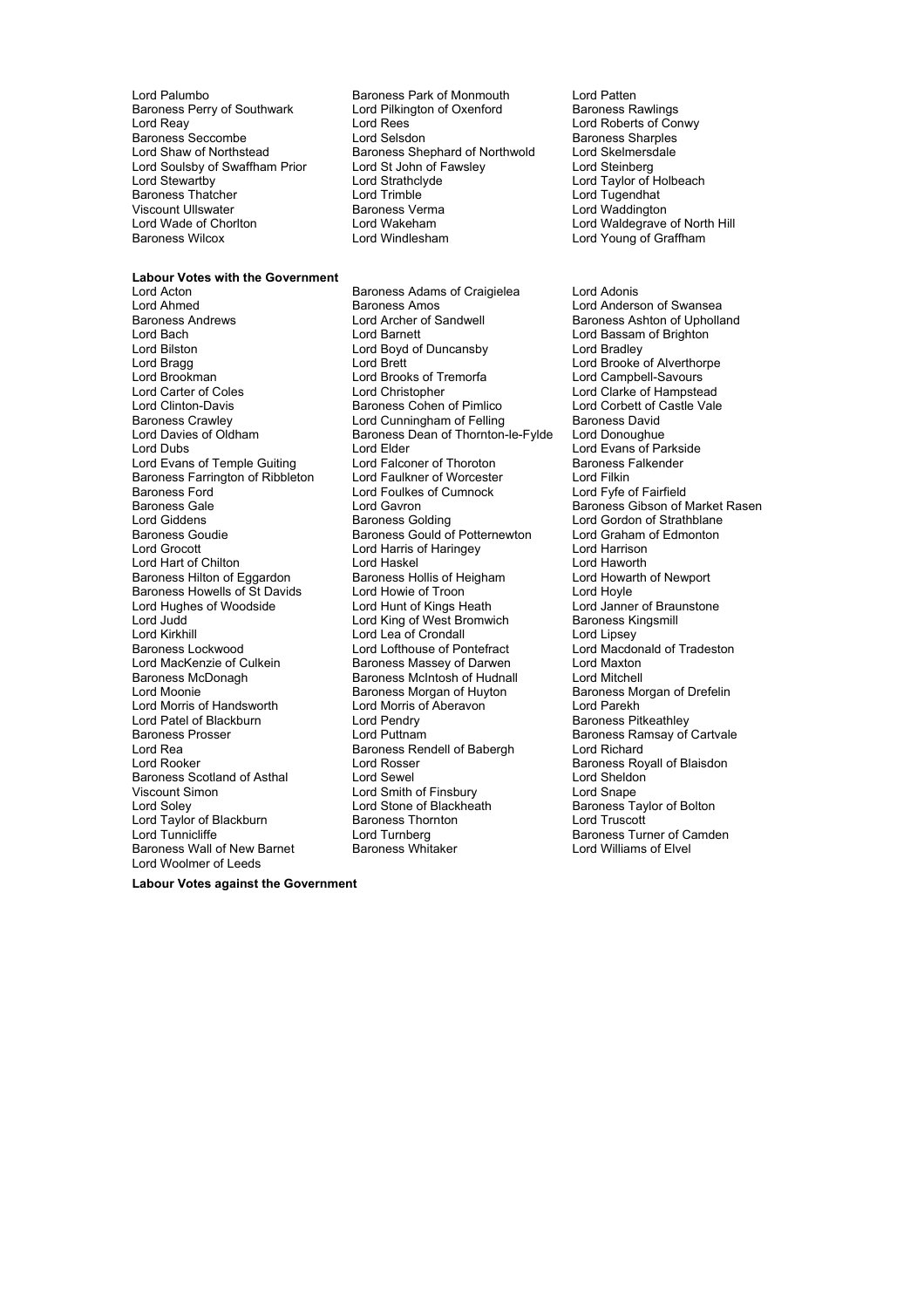Baroness Perry of Southwark Lord Pilkin<br>Lord Reav Lord Rees Lord Soulsby of Swaffham Prior Lord St John of F<br>Lord Stewartby Lord Strathclyde Viscount Ullswater **Baroness Verman Lord Water**<br> **Cord Wade of Choriton** Lord Wakeham

### **Labour Votes with the Government**<br>**Lord Acton**

Lord Bilston Lord Boyd of Duncansby<br>
Lord Bragg<br>
Lord Brett Baroness Ford **Exercise Server Constructs**<br>Baroness Gale **Constructs** Lord Gavron Baroness Hilton of Eggardon Baroness Hollis of He<br>Baroness Howells of St Davids Lord Howie of Troon Lord Patel of Blackburn Lord Pendry<br>
Baroness Prosser Carel Lord Puttnam Viscount Simon Lord Smith of Finsbury<br>
Lord Soley Lord Stone of Blackheath Lord Woolmer of Leeds

Lord Palumbo<br>
Baroness Perry of Southwark 
Lord Pilkington of Oxenford
Baroness Rawlings
Baroness Rawlings

Baroness
Baroness

Baroness

Lord Palumbo Lord Rees<br>
Lord Relsdon<br>
Raroness Sharples Baroness Seccombe Lord Selsdon Baroness Sharples<br>
Lord Shaw of Northstead Baroness Shephard of Northwold Lord Skelmersdale Baroness Shephard of Northwold<br>Lord St John of Fawslev Lord St John of Fawsley<br>
Lord Steinberg<br>
Lord Strathclyde Lord Taylor of Holbeach<br>
Lord Trimble Lord Tugendhat er Baroness Thatcher Thatcher Lord Trimble Lord Trimble Lord Tugendhat<br>
Viscount Ullswater That Baroness Verma Lord Waddington Lord Wade of Chorlton **Communist Condition Condition Condition** Lord Waldegrave of North Hill Baroness Wilcox Lord Windlesham Lord Young of Graffham

Lord Acton **Communist Communist Baroness Adams of Craigielea** Lord Adonis<br>
Lord Ahmed **Communist Baroness Amos** Cord Anders Lord Ahmed **Baroness Amos**<br>
Baroness Andrews **Baroness Anderson Container Amos** Lord Archer of Sandwell<br>
Baroness Andrews **Container Accord And Archer of Sandwell** Lord Bach **Lord Barnett** Lord Barnett Lord Bassam of Brighton<br>
Lord Bilston Lord Boyd of Duncansby Lord Bradley Lord Bragg Lord Brett Lord Brett Lord Brooke of Alverthorpe<br>
Lord Brookman Lord Brooks of Tremorfa Lord Campbell-Savours Lord Brooks of Tremorfa **Example Lord Campbell-Savours** Lord Carter of Coles Lord Christopher Lord Clarke of Hampstead<br>
Lord Clinton-Davis **Lord Coles** Baroness Cohen of Pimlico Lord Corbett of Castle Vale Lord Clinton-Davis **Baroness Cohen of Pimlico** Lord Corbett of Carbotan Corbett of Carbotas Crawley Lord Cunningham of Felling Baroness David Baroness Crawley **Lord Cunningham of Felling Baroness David Lord Davies of Oldham Caroness David Baroness Dean of Thornton-le-Fylde Lord Donoughue** Lord Davies of Oldham Baroness Dean of Thornton-le-Fylde<br>
Lord Dubs<br>
Lord Elder Lord Elder Cord Evans of Parkside<br>
Lord Falconer of Thoroton<br>
Baroness Falkender Lord Evans of Temple Guiting Lord Falconer of Thoroton Thoroton Baroness Formation Cord Filkin<br>Baroness Farrington of Ribbleton Lord Faulkner of Worcester The Lord Filkin Baroness Farrington of Ribbleton Lord Faulkner of Worcester Lord Filkin Baroness Gale **Lord Gavron** Caroness Gale Lord Gavron Baroness Gibson of Market Rasen<br>
Lord Giddens
Lord Gordon of Strathblane Lord Giddens **Baroness Golding** Lord Gordon of Strathblane<br>Baroness Gould of Potternewton Lord Graham of Edmonton Baroness Gould of Potternewton Lord Grocott Lord Harris of Haringey Lord Harrison Lord Hart of Chilton Lord Haskel Cord Haskel Lord Haworth<br>Baroness Hilton of Eggardon Baroness Hollis of Heigham Lord Howarth of Newport Baroness Howells of St Davids Lord Howie of Troon Lord Hoyle<br>
Lord Hughes of Woodside Lord Hunt of Kings Heath Lord Janne Lord Hughes of Woodside **Lord Hunt of Kings Heath** Lord Janner of Braunstone<br>
Lord Judd Lord King of West Bromwich Baroness Kingsmill Lord Judd Lord King of West Bromwich Baroness K<br>
Lord Kirkhill Lord Lea of Crondall Lord Lipsey Lord Lea of Crondall Baroness Lockwood **Lord Lofthouse of Pontefract** Lord Macdonald of Tradeston<br>Lord MacKenzie of Culkein **Baroness Massey of Darwen** Lord Maxton Lord MacKenzie of Culkein **Baroness Massey of Darwen** Lord Maxton<br>Baroness McDonagh Baroness McIntosh of Hudnall Lord Mitchell Baroness McIntosh of Hudnall Lord Mitchell<br>Baroness Morgan of Huyton Baroness Morgan of Drefelin Lord Moonie **Baroness Morgan of Huyton**<br>
Lord Morris of Handsworth **Baroness Morgan of Aberavon** Lord Parekh Lord Morris of Aberavon in Lord Parekh<br>Lord Pendry in Baroness Pitkeathlev Lord Rea Baroness Rendell of Babergh Lord Richard<br>
Lord Roser Cord Rosser Baroness Ro Lord Rosser **Lord Rooker Lord Rooker Baroness Royall of Blaisdon**<br>Lord Sewel **Lord Sheldon** Baroness Scotland of Asthal Lord Sewel Lord Sewel Lord Sheldon<br>
Viscount Simon Lord Sheldon<br>
Lord Smape Lord Smape Lord Sheldon<br>
Lord Smape Lord Sheldon Lord Stone of Blackheath Baroness Taylor of Bolton<br>
Baroness Thornton<br>
Lord Truscott Lord Taylor of Blackburn **Baroness Thor https://www.frackburn** Lord Truscott<br>1997 Lord Turnberg Lord Turnberg **Baroness Turnberg** Lord Turnberg **Communication**<br>
Baroness Whitaker **Baroness Turner Communication**<br>
Lord Williams of Elvel Baroness Wall of New Barnet Baroness Whitaker Lord Williams of Elvel

Baroness Ashton of Upholland Baroness Ramsay of Cartvale

**Labour Votes against the Government**